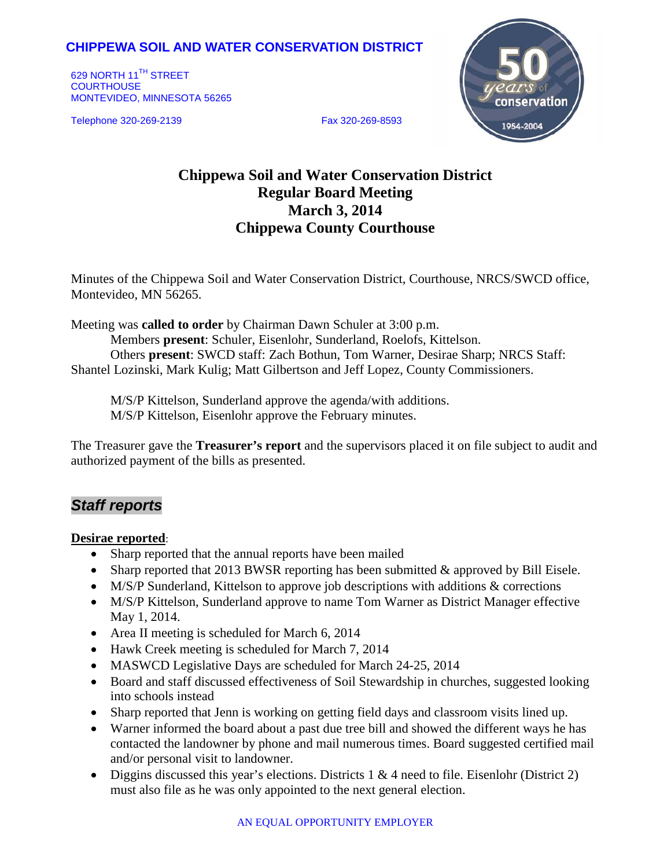# **CHIPPEWA SOIL AND WATER CONSERVATION DISTRICT**

629 NORTH 11<sup>TH</sup> STREET **COURTHOUSE** MONTEVIDEO, MINNESOTA 56265

Telephone 320-269-2139 Fax 320-269-8593



# **Chippewa Soil and Water Conservation District Regular Board Meeting March 3, 2014 Chippewa County Courthouse**

Minutes of the Chippewa Soil and Water Conservation District, Courthouse, NRCS/SWCD office, Montevideo, MN 56265.

Meeting was **called to order** by Chairman Dawn Schuler at 3:00 p.m.

Members **present**: Schuler, Eisenlohr, Sunderland, Roelofs, Kittelson. Others **present**: SWCD staff: Zach Bothun, Tom Warner, Desirae Sharp; NRCS Staff: Shantel Lozinski, Mark Kulig; Matt Gilbertson and Jeff Lopez, County Commissioners.

M/S/P Kittelson, Sunderland approve the agenda/with additions. M/S/P Kittelson, Eisenlohr approve the February minutes.

The Treasurer gave the **Treasurer's report** and the supervisors placed it on file subject to audit and authorized payment of the bills as presented.

# *Staff reports*

#### **Desirae reported**:

- Sharp reported that the annual reports have been mailed
- Sharp reported that 2013 BWSR reporting has been submitted & approved by Bill Eisele.
- M/S/P Sunderland, Kittelson to approve job descriptions with additions & corrections
- M/S/P Kittelson, Sunderland approve to name Tom Warner as District Manager effective May 1, 2014.
- Area II meeting is scheduled for March 6, 2014
- Hawk Creek meeting is scheduled for March 7, 2014
- MASWCD Legislative Days are scheduled for March 24-25, 2014
- Board and staff discussed effectiveness of Soil Stewardship in churches, suggested looking into schools instead
- Sharp reported that Jenn is working on getting field days and classroom visits lined up.
- Warner informed the board about a past due tree bill and showed the different ways he has contacted the landowner by phone and mail numerous times. Board suggested certified mail and/or personal visit to landowner.
- Diggins discussed this year's elections. Districts  $1 \& 4$  need to file. Eisenlohr (District 2) must also file as he was only appointed to the next general election.